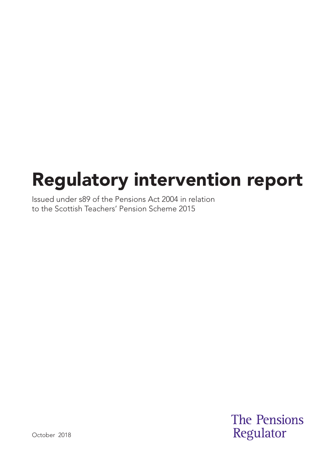# Regulatory intervention report

Issued under s89 of the Pensions Act 2004 in relation to the Scottish Teachers' Pension Scheme 2015

> **The Pensions** Regulator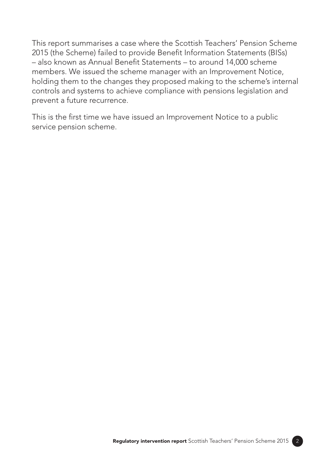This report summarises a case where the Scottish Teachers' Pension Scheme 2015 (the Scheme) failed to provide Benefit Information Statements (BISs) – also known as Annual Benefit Statements – to around 14,000 scheme members. We issued the scheme manager with an Improvement Notice, holding them to the changes they proposed making to the scheme's internal controls and systems to achieve compliance with pensions legislation and prevent a future recurrence.

This is the first time we have issued an Improvement Notice to a public service pension scheme.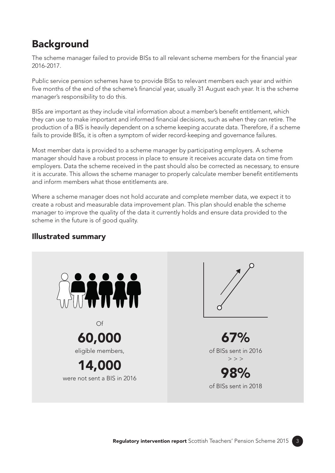# **Background**

The scheme manager failed to provide BISs to all relevant scheme members for the financial year 2016-2017.

Public service pension schemes have to provide BISs to relevant members each year and within five months of the end of the scheme's financial year, usually 31 August each year. It is the scheme manager's responsibility to do this.

BISs are important as they include vital information about a member's benefit entitlement, which they can use to make important and informed financial decisions, such as when they can retire. The production of a BIS is heavily dependent on a scheme keeping accurate data. Therefore, if a scheme fails to provide BISs, it is often a symptom of wider record-keeping and governance failures.

Most member data is provided to a scheme manager by participating employers. A scheme manager should have a robust process in place to ensure it receives accurate data on time from employers. Data the scheme received in the past should also be corrected as necessary, to ensure it is accurate. This allows the scheme manager to properly calculate member benefit entitlements and inform members what those entitlements are.

Where a scheme manager does not hold accurate and complete member data, we expect it to create a robust and measurable data improvement plan. This plan should enable the scheme manager to improve the quality of the data it currently holds and ensure data provided to the scheme in the future is of good quality.

#### Illustrated summary

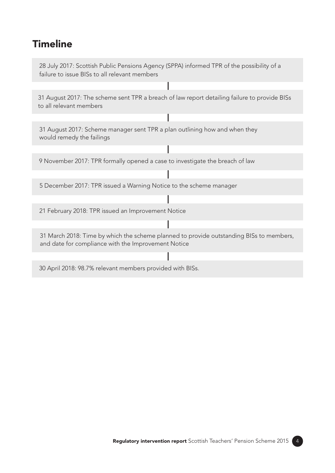### **Timeline**

28 July 2017: Scottish Public Pensions Agency (SPPA) informed TPR of the possibility of a failure to issue BISs to all relevant members

31 August 2017: The scheme sent TPR a breach of law report detailing failure to provide BISs to all relevant members

31 August 2017: Scheme manager sent TPR a plan outlining how and when they would remedy the failings

9 November 2017: TPR formally opened a case to investigate the breach of law

5 December 2017: TPR issued a Warning Notice to the scheme manager

21 February 2018: TPR issued an Improvement Notice

31 March 2018: Time by which the scheme planned to provide outstanding BISs to members, and date for compliance with the Improvement Notice

30 April 2018: 98.7% relevant members provided with BISs.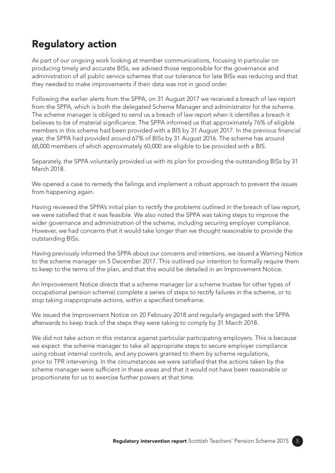# Regulatory action

As part of our ongoing work looking at member communications, focusing in particular on producing timely and accurate BISs, we advised those responsible for the governance and administration of all public service schemes that our tolerance for late BISs was reducing and that they needed to make improvements if their data was not in good order.

Following the earlier alerts from the SPPA, on 31 August 2017 we received a breach of law report from the SPPA, which is both the delegated Scheme Manager and administrator for the scheme. The scheme manager is obliged to send us a breach of law report when it identifies a breach it believes to be of material significance. The SPPA informed us that approximately 76% of eligible members in this scheme had been provided with a BIS by 31 August 2017. In the previous financial year, the SPPA had provided around 67% of BISs by 31 August 2016. The scheme has around 68,000 members of which approximately 60,000 are eligible to be provided with a BIS.

Separately, the SPPA voluntarily provided us with its plan for providing the outstanding BISs by 31 March 2018.

We opened a case to remedy the failings and implement a robust approach to prevent the issues from happening again.

Having reviewed the SPPA's initial plan to rectify the problems outlined in the breach of law report, we were satisfied that it was feasible. We also noted the SPPA was taking steps to improve the wider governance and administration of the scheme, including securing employer compliance. However, we had concerns that it would take longer than we thought reasonable to provide the outstanding BISs.

Having previously informed the SPPA about our concerns and intentions, we issued a Warning Notice to the scheme manager on 5 December 2017. This outlined our intention to formally require them to keep to the terms of the plan, and that this would be detailed in an Improvement Notice.

An Improvement Notice directs that a scheme manager (or a scheme trustee for other types of occupational pension scheme) complete a series of steps to rectify failures in the scheme, or to stop taking inappropriate actions, within a specified timeframe.

We issued the Improvement Notice on 20 February 2018 and regularly engaged with the SPPA afterwards to keep track of the steps they were taking to comply by 31 March 2018.

We did not take action in this instance against particular participating employers. This is because we expect the scheme manager to take all appropriate steps to secure employer compliance using robust internal controls, and any powers granted to them by scheme regulations, prior to TPR intervening. In the circumstances we were satisfied that the actions taken by the scheme manager were sufficient in these areas and that it would not have been reasonable or proportionate for us to exercise further powers at that time.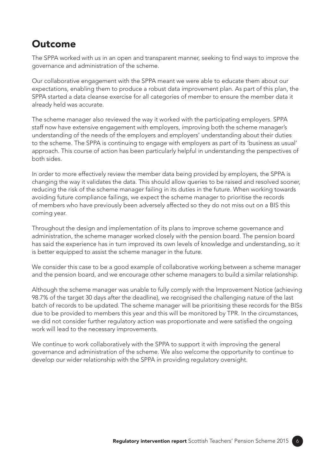#### **Outcome**

The SPPA worked with us in an open and transparent manner, seeking to find ways to improve the governance and administration of the scheme.

Our collaborative engagement with the SPPA meant we were able to educate them about our expectations, enabling them to produce a robust data improvement plan. As part of this plan, the SPPA started a data cleanse exercise for all categories of member to ensure the member data it already held was accurate.

The scheme manager also reviewed the way it worked with the participating employers. SPPA staff now have extensive engagement with employers, improving both the scheme manager's understanding of the needs of the employers and employers' understanding about their duties to the scheme. The SPPA is continuing to engage with employers as part of its 'business as usual' approach. This course of action has been particularly helpful in understanding the perspectives of both sides.

In order to more effectively review the member data being provided by employers, the SPPA is changing the way it validates the data. This should allow queries to be raised and resolved sooner, reducing the risk of the scheme manager failing in its duties in the future. When working towards avoiding future compliance failings, we expect the scheme manager to prioritise the records of members who have previously been adversely affected so they do not miss out on a BIS this coming year.

Throughout the design and implementation of its plans to improve scheme governance and administration, the scheme manager worked closely with the pension board. The pension board has said the experience has in turn improved its own levels of knowledge and understanding, so it is better equipped to assist the scheme manager in the future.

We consider this case to be a good example of collaborative working between a scheme manager and the pension board, and we encourage other scheme managers to build a similar relationship.

Although the scheme manager was unable to fully comply with the Improvement Notice (achieving 98.7% of the target 30 days after the deadline), we recognised the challenging nature of the last batch of records to be updated. The scheme manager will be prioritising these records for the BISs due to be provided to members this year and this will be monitored by TPR. In the circumstances, we did not consider further regulatory action was proportionate and were satisfied the ongoing work will lead to the necessary improvements.

We continue to work collaboratively with the SPPA to support it with improving the general governance and administration of the scheme. We also welcome the opportunity to continue to develop our wider relationship with the SPPA in providing regulatory oversight.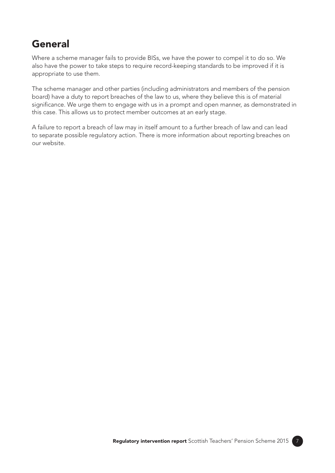## General

Where a scheme manager fails to provide BISs, we have the power to compel it to do so. We also have the power to take steps to require record-keeping standards to be improved if it is appropriate to use them.

The scheme manager and other parties (including administrators and members of the pension board) have a duty to report breaches of the law to us, where they believe this is of material significance. We urge them to engage with us in a prompt and open manner, as demonstrated in this case. This allows us to protect member outcomes at an early stage.

A failure to report a breach of law may in itself amount to a further breach of law and can lead to separate possible regulatory action. There is more information about reporting breaches on our website.